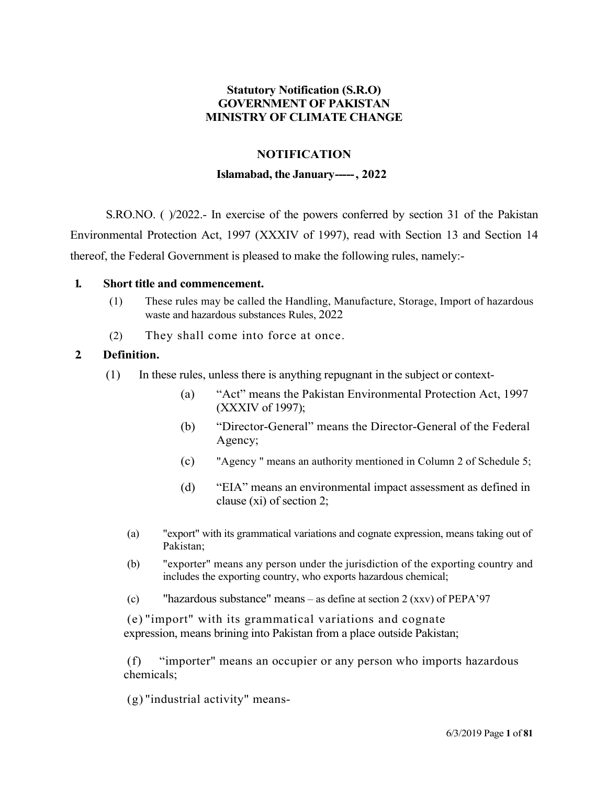## Statutory Notification (S.R.O) GOVERNMENT OF PAKISTAN MINISTRY OF CLIMATE CHANGE

### NOTIFICATION

#### Islamabad, the January-----, 2022

S.RO.NO. ( )/2022.- In exercise of the powers conferred by section 31 of the Pakistan Environmental Protection Act, 1997 (XXXIV of 1997), read with Section 13 and Section 14 thereof, the Federal Government is pleased to make the following rules, namely:-

#### 1. Short title and commencement.

- (1) These rules may be called the Handling, Manufacture, Storage, Import of hazardous waste and hazardous substances Rules, 2022
- (2) They shall come into force at once.

#### 2. Definition.

- (1) In these rules, unless there is anything repugnant in the subject or context-
	- (a) "Act" means the Pakistan Environmental Protection Act, 1997 (XXXIV of 1997);
	- (b) "Director-General" means the Director-General of the Federal Agency;
	- (c) "Agency " means an authority mentioned in Column 2 of Schedule 5;
	- (d) "EIA" means an environmental impact assessment as defined in clause (xi) of section 2;
	- (a) "export" with its grammatical variations and cognate expression, means taking out of Pakistan;
	- (b) "exporter" means any person under the jurisdiction of the exporting country and includes the exporting country, who exports hazardous chemical;
	- (c) "hazardous substance" means as define at section 2 (xxv) of PEPA'97

(e) "import" with its grammatical variations and cognate expression, means brining into Pakistan from a place outside Pakistan;

(f) "importer" means an occupier or any person who imports hazardous chemicals;

(g) "industrial activity" means-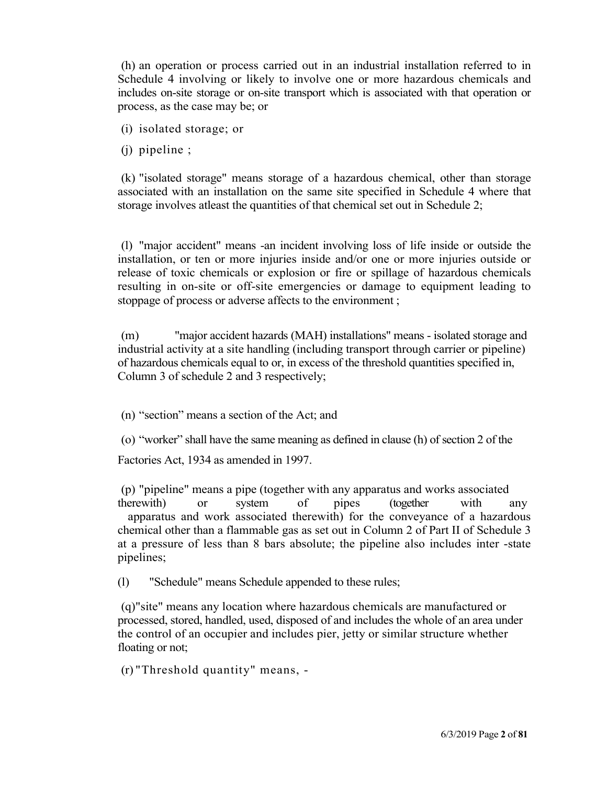(h) an operation or process carried out in an industrial installation referred to in Schedule 4 involving or likely to involve one or more hazardous chemicals and includes on-site storage or on-site transport which is associated with that operation or process, as the case may be; or

(i) isolated storage; or

(j) pipeline ;

(k) "isolated storage" means storage of a hazardous chemical, other than storage associated with an installation on the same site specified in Schedule 4 where that storage involves atleast the quantities of that chemical set out in Schedule 2;

(l) "major accident" means -an incident involving loss of life inside or outside the installation, or ten or more injuries inside and/or one or more injuries outside or release of toxic chemicals or explosion or fire or spillage of hazardous chemicals resulting in on-site or off-site emergencies or damage to equipment leading to stoppage of process or adverse affects to the environment ;

(m) "major accident hazards (MAH) installations" means - isolated storage and industrial activity at a site handling (including transport through carrier or pipeline) of hazardous chemicals equal to or, in excess of the threshold quantities specified in, Column 3 of schedule 2 and 3 respectively;

(n) "section" means a section of the Act; and

(o) "worker" shall have the same meaning as defined in clause (h) of section 2 of the

Factories Act, 1934 as amended in 1997.

(p) "pipeline" means a pipe (together with any apparatus and works associated therewith) or system of pipes (together with any apparatus and work associated therewith) for the conveyance of a hazardous chemical other than a flammable gas as set out in Column 2 of Part II of Schedule 3 at a pressure of less than 8 bars absolute; the pipeline also includes inter -state pipelines;

(l) "Schedule" means Schedule appended to these rules;

(q)"site" means any location where hazardous chemicals are manufactured or processed, stored, handled, used, disposed of and includes the whole of an area under the control of an occupier and includes pier, jetty or similar structure whether floating or not;

(r) "Threshold quantity" means, -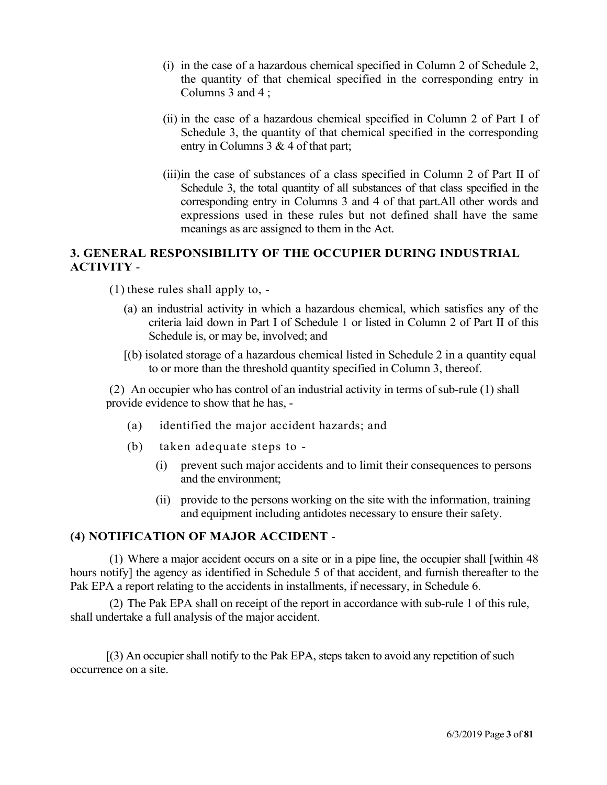- (i) in the case of a hazardous chemical specified in Column 2 of Schedule 2, the quantity of that chemical specified in the corresponding entry in Columns 3 and 4 ;
- (ii) in the case of a hazardous chemical specified in Column 2 of Part I of Schedule 3, the quantity of that chemical specified in the corresponding entry in Columns 3 & 4 of that part;
- (iii)in the case of substances of a class specified in Column 2 of Part II of Schedule 3, the total quantity of all substances of that class specified in the corresponding entry in Columns 3 and 4 of that part.All other words and expressions used in these rules but not defined shall have the same meanings as are assigned to them in the Act.

# 3. GENERAL RESPONSIBILITY OF THE OCCUPIER DURING INDUSTRIAL ACTIVITY -

- (1) these rules shall apply to,
	- (a) an industrial activity in which a hazardous chemical, which satisfies any of the criteria laid down in Part I of Schedule 1 or listed in Column 2 of Part II of this Schedule is, or may be, involved; and
	- [(b) isolated storage of a hazardous chemical listed in Schedule 2 in a quantity equal to or more than the threshold quantity specified in Column 3, thereof.

(2) An occupier who has control of an industrial activity in terms of sub-rule (1) shall provide evidence to show that he has, -

- (a) identified the major accident hazards; and
- (b) taken adequate steps to
	- (i) prevent such major accidents and to limit their consequences to persons and the environment;
	- (ii) provide to the persons working on the site with the information, training and equipment including antidotes necessary to ensure their safety.

## (4) NOTIFICATION OF MAJOR ACCIDENT -

(1) Where a major accident occurs on a site or in a pipe line, the occupier shall [within 48 hours notify] the agency as identified in Schedule 5 of that accident, and furnish thereafter to the Pak EPA a report relating to the accidents in installments, if necessary, in Schedule 6.

(2) The Pak EPA shall on receipt of the report in accordance with sub-rule 1 of this rule, shall undertake a full analysis of the major accident.

[(3) An occupier shall notify to the Pak EPA, steps taken to avoid any repetition of such occurrence on a site.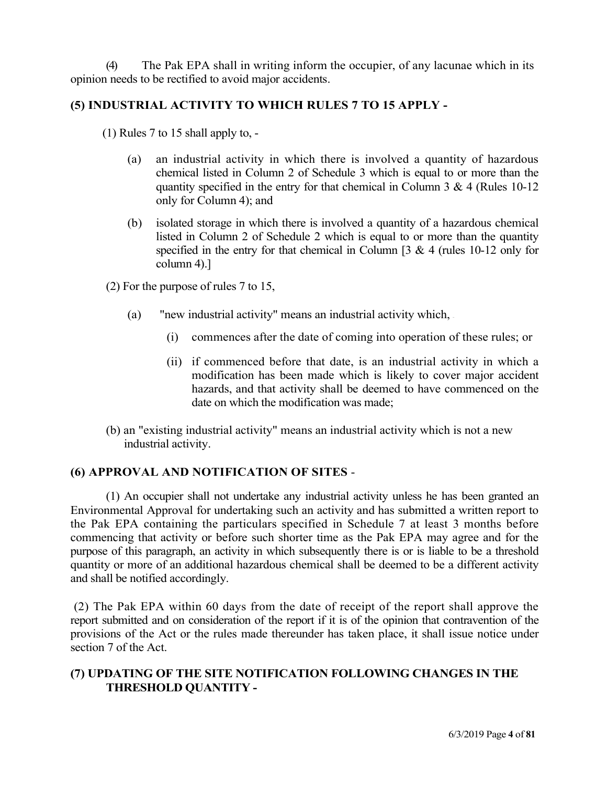(4) The Pak EPA shall in writing inform the occupier, of any lacunae which in its opinion needs to be rectified to avoid major accidents.

## (5) INDUSTRIAL ACTIVITY TO WHICH RULES 7 TO 15 APPLY -

(1) Rules 7 to 15 shall apply to, -

- (a) an industrial activity in which there is involved a quantity of hazardous chemical listed in Column 2 of Schedule 3 which is equal to or more than the quantity specified in the entry for that chemical in Column 3 & 4 (Rules 10-12 only for Column 4); and
- (b) isolated storage in which there is involved a quantity of a hazardous chemical listed in Column 2 of Schedule 2 which is equal to or more than the quantity specified in the entry for that chemical in Column [3 & 4 (rules 10-12 only for column 4).]

(2) For the purpose of rules 7 to 15,

- (a) "new industrial activity" means an industrial activity which,
	- (i) commences after the date of coming into operation of these rules; or
	- (ii) if commenced before that date, is an industrial activity in which a modification has been made which is likely to cover major accident hazards, and that activity shall be deemed to have commenced on the date on which the modification was made;
- (b) an "existing industrial activity" means an industrial activity which is not a new industrial activity.

### (6) APPROVAL AND NOTIFICATION OF SITES -

(1) An occupier shall not undertake any industrial activity unless he has been granted an Environmental Approval for undertaking such an activity and has submitted a written report to the Pak EPA containing the particulars specified in Schedule 7 at least 3 months before commencing that activity or before such shorter time as the Pak EPA may agree and for the purpose of this paragraph, an activity in which subsequently there is or is liable to be a threshold quantity or more of an additional hazardous chemical shall be deemed to be a different activity and shall be notified accordingly.

(2) The Pak EPA within 60 days from the date of receipt of the report shall approve the report submitted and on consideration of the report if it is of the opinion that contravention of the provisions of the Act or the rules made thereunder has taken place, it shall issue notice under section 7 of the Act.

## (7) UPDATING OF THE SITE NOTIFICATION FOLLOWING CHANGES IN THE THRESHOLD QUANTITY -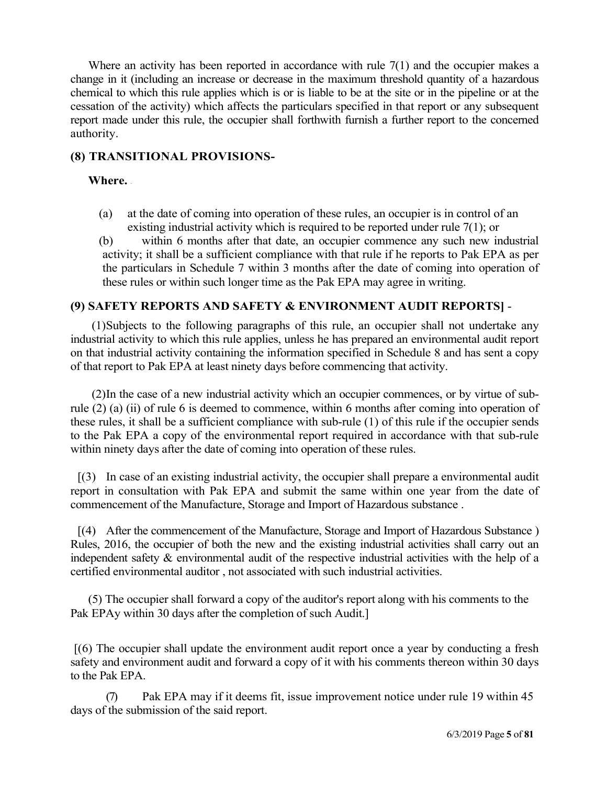Where an activity has been reported in accordance with rule  $7(1)$  and the occupier makes a change in it (including an increase or decrease in the maximum threshold quantity of a hazardous chemical to which this rule applies which is or is liable to be at the site or in the pipeline or at the cessation of the activity) which affects the particulars specified in that report or any subsequent report made under this rule, the occupier shall forthwith furnish a further report to the concerned authority.

### (8) TRANSITIONAL PROVISIONS-

### Where. –

- (a) at the date of coming into operation of these rules, an occupier is in control of an existing industrial activity which is required to be reported under rule 7(1); or
- (b) within 6 months after that date, an occupier commence any such new industrial activity; it shall be a sufficient compliance with that rule if he reports to Pak EPA as per the particulars in Schedule 7 within 3 months after the date of coming into operation of these rules or within such longer time as the Pak EPA may agree in writing.

## (9) SAFETY REPORTS AND SAFETY & ENVIRONMENT AUDIT REPORTS] -

(1)Subjects to the following paragraphs of this rule, an occupier shall not undertake any industrial activity to which this rule applies, unless he has prepared an environmental audit report on that industrial activity containing the information specified in Schedule 8 and has sent a copy of that report to Pak EPA at least ninety days before commencing that activity.

(2)In the case of a new industrial activity which an occupier commences, or by virtue of subrule (2) (a) (ii) of rule 6 is deemed to commence, within 6 months after coming into operation of these rules, it shall be a sufficient compliance with sub-rule (1) of this rule if the occupier sends to the Pak EPA a copy of the environmental report required in accordance with that sub-rule within ninety days after the date of coming into operation of these rules.

[(3) In case of an existing industrial activity, the occupier shall prepare a environmental audit report in consultation with Pak EPA and submit the same within one year from the date of commencement of the Manufacture, Storage and Import of Hazardous substance .

[(4) After the commencement of the Manufacture, Storage and Import of Hazardous Substance ) Rules, 2016, the occupier of both the new and the existing industrial activities shall carry out an independent safety & environmental audit of the respective industrial activities with the help of a certified environmental auditor , not associated with such industrial activities.

(5) The occupier shall forward a copy of the auditor's report along with his comments to the Pak EPAy within 30 days after the completion of such Audit.]

[(6) The occupier shall update the environment audit report once a year by conducting a fresh safety and environment audit and forward a copy of it with his comments thereon within 30 days to the Pak EPA.

(7) Pak EPA may if it deems fit, issue improvement notice under rule 19 within 45 days of the submission of the said report.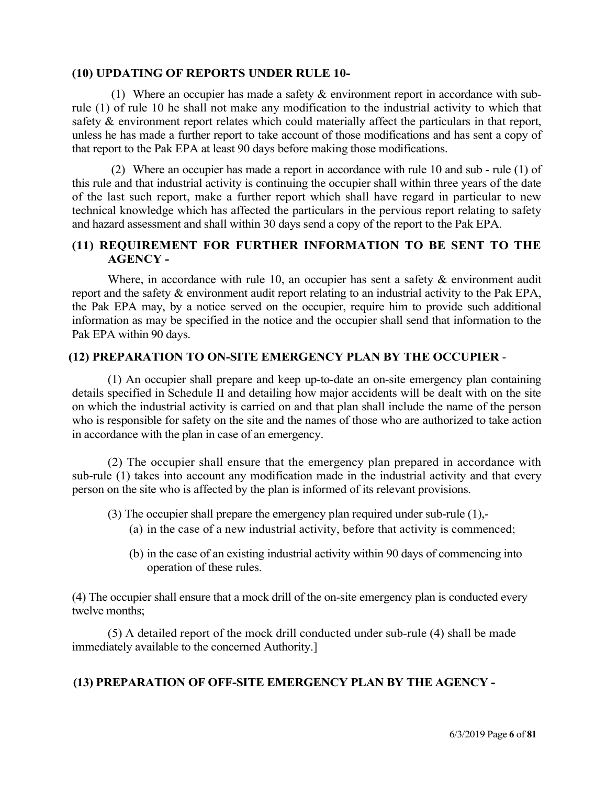#### (10) UPDATING OF REPORTS UNDER RULE 10-

(1) Where an occupier has made a safety & environment report in accordance with subrule (1) of rule 10 he shall not make any modification to the industrial activity to which that safety & environment report relates which could materially affect the particulars in that report, unless he has made a further report to take account of those modifications and has sent a copy of that report to the Pak EPA at least 90 days before making those modifications.

(2) Where an occupier has made a report in accordance with rule 10 and sub - rule (1) of this rule and that industrial activity is continuing the occupier shall within three years of the date of the last such report, make a further report which shall have regard in particular to new technical knowledge which has affected the particulars in the pervious report relating to safety and hazard assessment and shall within 30 days send a copy of the report to the Pak EPA.

## (11) REQUIREMENT FOR FURTHER INFORMATION TO BE SENT TO THE AGENCY -

Where, in accordance with rule 10, an occupier has sent a safety & environment audit report and the safety & environment audit report relating to an industrial activity to the Pak EPA, the Pak EPA may, by a notice served on the occupier, require him to provide such additional information as may be specified in the notice and the occupier shall send that information to the Pak EPA within 90 days.

## (12) PREPARATION TO ON-SITE EMERGENCY PLAN BY THE OCCUPIER -

(1) An occupier shall prepare and keep up-to-date an on-site emergency plan containing details specified in Schedule II and detailing how major accidents will be dealt with on the site on which the industrial activity is carried on and that plan shall include the name of the person who is responsible for safety on the site and the names of those who are authorized to take action in accordance with the plan in case of an emergency.

(2) The occupier shall ensure that the emergency plan prepared in accordance with sub-rule (1) takes into account any modification made in the industrial activity and that every person on the site who is affected by the plan is informed of its relevant provisions.

- (3) The occupier shall prepare the emergency plan required under sub-rule (1),-
	- (a) in the case of a new industrial activity, before that activity is commenced;
	- (b) in the case of an existing industrial activity within 90 days of commencing into operation of these rules.

(4) The occupier shall ensure that a mock drill of the on-site emergency plan is conducted every twelve months;

(5) A detailed report of the mock drill conducted under sub-rule (4) shall be made immediately available to the concerned Authority.]

## (13) PREPARATION OF OFF-SITE EMERGENCY PLAN BY THE AGENCY -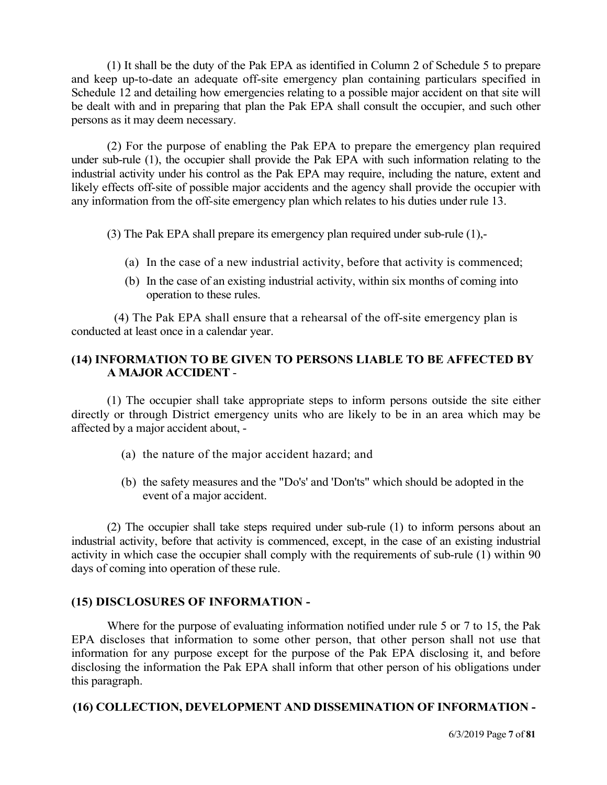(1) It shall be the duty of the Pak EPA as identified in Column 2 of Schedule 5 to prepare and keep up-to-date an adequate off-site emergency plan containing particulars specified in Schedule 12 and detailing how emergencies relating to a possible major accident on that site will be dealt with and in preparing that plan the Pak EPA shall consult the occupier, and such other persons as it may deem necessary.

(2) For the purpose of enabling the Pak EPA to prepare the emergency plan required under sub-rule (1), the occupier shall provide the Pak EPA with such information relating to the industrial activity under his control as the Pak EPA may require, including the nature, extent and likely effects off-site of possible major accidents and the agency shall provide the occupier with any information from the off-site emergency plan which relates to his duties under rule 13.

(3) The Pak EPA shall prepare its emergency plan required under sub-rule (1),-

- (a) In the case of a new industrial activity, before that activity is commenced;
- (b) In the case of an existing industrial activity, within six months of coming into operation to these rules.

(4) The Pak EPA shall ensure that a rehearsal of the off-site emergency plan is conducted at least once in a calendar year.

### (14) INFORMATION TO BE GIVEN TO PERSONS LIABLE TO BE AFFECTED BY A MAJOR ACCIDENT -

(1) The occupier shall take appropriate steps to inform persons outside the site either directly or through District emergency units who are likely to be in an area which may be affected by a major accident about, -

- (a) the nature of the major accident hazard; and
- (b) the safety measures and the "Do's' and 'Don'ts" which should be adopted in the event of a major accident.

(2) The occupier shall take steps required under sub-rule (1) to inform persons about an industrial activity, before that activity is commenced, except, in the case of an existing industrial activity in which case the occupier shall comply with the requirements of sub-rule (1) within 90 days of coming into operation of these rule.

#### (15) DISCLOSURES OF INFORMATION -

Where for the purpose of evaluating information notified under rule 5 or 7 to 15, the Pak EPA discloses that information to some other person, that other person shall not use that information for any purpose except for the purpose of the Pak EPA disclosing it, and before disclosing the information the Pak EPA shall inform that other person of his obligations under this paragraph.

#### (16) COLLECTION, DEVELOPMENT AND DISSEMINATION OF INFORMATION -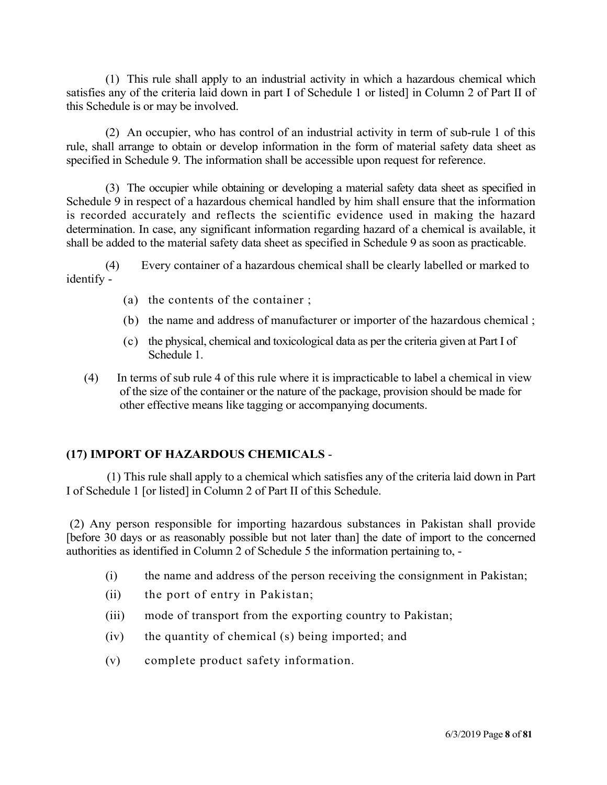(1) This rule shall apply to an industrial activity in which a hazardous chemical which satisfies any of the criteria laid down in part I of Schedule 1 or listed] in Column 2 of Part II of this Schedule is or may be involved.

(2) An occupier, who has control of an industrial activity in term of sub-rule 1 of this rule, shall arrange to obtain or develop information in the form of material safety data sheet as specified in Schedule 9. The information shall be accessible upon request for reference.

(3) The occupier while obtaining or developing a material safety data sheet as specified in Schedule 9 in respect of a hazardous chemical handled by him shall ensure that the information is recorded accurately and reflects the scientific evidence used in making the hazard determination. In case, any significant information regarding hazard of a chemical is available, it shall be added to the material safety data sheet as specified in Schedule 9 as soon as practicable.

(4) Every container of a hazardous chemical shall be clearly labelled or marked to identify -

- (a) the contents of the container ;
- (b) the name and address of manufacturer or importer of the hazardous chemical ;
- (c) the physical, chemical and toxicological data as per the criteria given at Part I of Schedule 1.
- (4) In terms of sub rule 4 of this rule where it is impracticable to label a chemical in view of the size of the container or the nature of the package, provision should be made for other effective means like tagging or accompanying documents.

### (17) IMPORT OF HAZARDOUS CHEMICALS -

(1) This rule shall apply to a chemical which satisfies any of the criteria laid down in Part I of Schedule 1 [or listed] in Column 2 of Part II of this Schedule.

(2) Any person responsible for importing hazardous substances in Pakistan shall provide [before 30 days or as reasonably possible but not later than] the date of import to the concerned authorities as identified in Column 2 of Schedule 5 the information pertaining to, -

- (i) the name and address of the person receiving the consignment in Pakistan;
- (ii) the port of entry in Pakistan;
- (iii) mode of transport from the exporting country to Pakistan;
- (iv) the quantity of chemical (s) being imported; and
- (v) complete product safety information.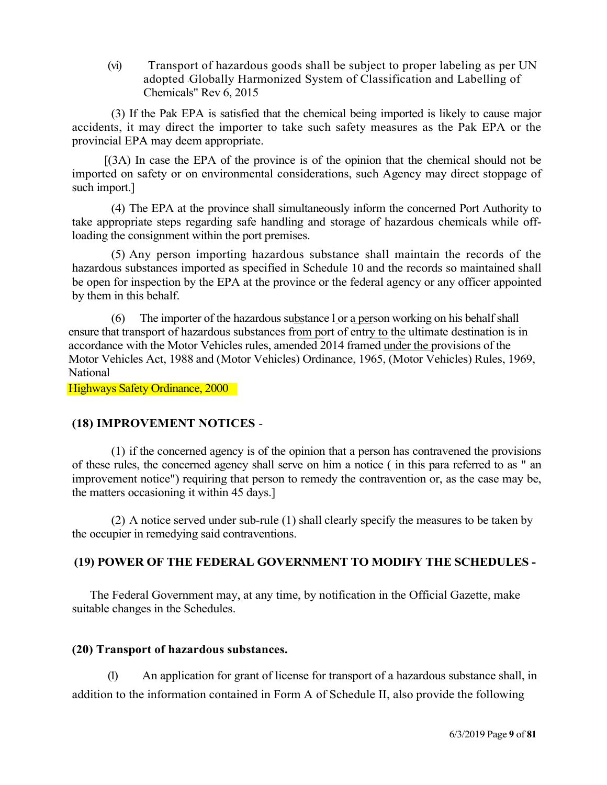(vi) Transport of hazardous goods shall be subject to proper labeling as per UN adopted "Globally Harmonized System of Classification and Labelling of Chemicals" Rev 6, 2015

(3) If the Pak EPA is satisfied that the chemical being imported is likely to cause major accidents, it may direct the importer to take such safety measures as the Pak EPA or the provincial EPA may deem appropriate.

[(3A) In case the EPA of the province is of the opinion that the chemical should not be imported on safety or on environmental considerations, such Agency may direct stoppage of such import.]

(4) The EPA at the province shall simultaneously inform the concerned Port Authority to take appropriate steps regarding safe handling and storage of hazardous chemicals while offloading the consignment within the port premises.

(5) Any person importing hazardous substance shall maintain the records of the hazardous substances imported as specified in Schedule 10 and the records so maintained shall be open for inspection by the EPA at the province or the federal agency or any officer appointed by them in this behalf.

(6) The importer of the hazardous substance l or a person working on his behalf shall ensure that transport of hazardous substances from port of entry to the ultimate destination is in accordance with the Motor Vehicles rules, amended 2014 framed under the provisions of the Motor Vehicles Act, 1988 and (Motor Vehicles) Ordinance, 1965, (Motor Vehicles) Rules, 1969, National

Highways Safety Ordinance, 2000

## (18) IMPROVEMENT NOTICES -

(1) if the concerned agency is of the opinion that a person has contravened the provisions of these rules, the concerned agency shall serve on him a notice ( in this para referred to as " an improvement notice") requiring that person to remedy the contravention or, as the case may be, the matters occasioning it within 45 days.]

(2) A notice served under sub-rule (1) shall clearly specify the measures to be taken by the occupier in remedying said contraventions.

## (19) POWER OF THE FEDERAL GOVERNMENT TO MODIFY THE SCHEDULES -

The Federal Government may, at any time, by notification in the Official Gazette, make suitable changes in the Schedules.

## (20) Transport of hazardous substances.

(1) An application for grant of license for transport of a hazardous substance shall, in addition to the information contained in Form A of Schedule II, also provide the following